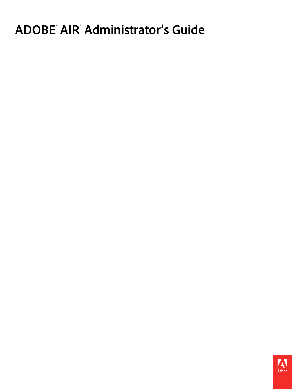# **ADOBE**®  **AIR**®  **Administrator's Guide**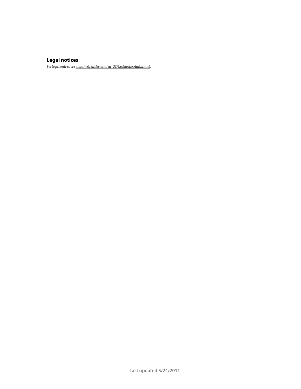#### **Legal notices**

For legal notices, see [http://help.adobe.com/en\\_US/legalnotices/index.html.](http://help.adobe.com/en_US/legalnotices/index.html)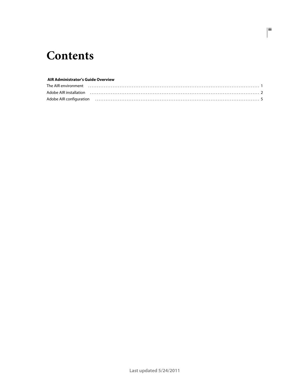## **Contents**

#### **AIR Administrator's Guide Overview**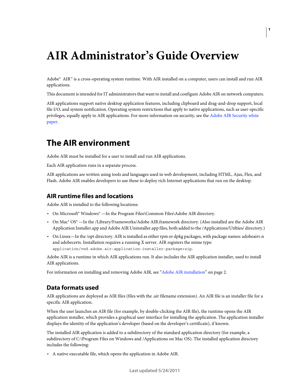## <span id="page-3-0"></span>**AIR Administrator's Guide Overview**

Adobe® AIR™ is a cross-operating system runtime. With AIR installed on a computer, users can install and run AIR applications.

This document is intended for IT administrators that want to install and configure Adobe AIR on network computers.

AIR applications support native desktop application features, including clipboard and drag-and-drop support, local file I/O, and system notification. Operating system restrictions that apply to native applications, such as user-specific privileges, equally apply to AIR applications. For more information on security, see the [Adobe AIR Security white](http://www.adobe.com/go/learn_air_security_wp_en)  [paper.](http://www.adobe.com/go/learn_air_security_wp_en)

### <span id="page-3-1"></span>**The AIR environment**

Adobe AIR must be installed for a user to install and run AIR applications.

Each AIR application runs in a separate process.

AIR applications are written using tools and languages used in web development, including HTML, Ajax, Flex, and Flash. Adobe AIR enables developers to use these to deploy rich Internet applications that run on the desktop.

#### **AIR runtime files and locations**

Adobe AIR is installed to the following locations:

- On Microsoft® Windows® —In the Program Files\Common Files\Adobe AIR directory.
- On Mac® OS® —In the /Library/Frameworks/Adobe AIR.framework directory. (Also installed are the Adobe AIR Application Installer.app and Adobe AIR Uninstaller.app files, both added to the /Applications/Utilties/ directory.)
- On Linux—In the /opt directory. AIR is installed as either rpm or dpkg packages, with package names: adobeairv.n and adobecerts. Installation requires a running X server. AIR registers the mime type: application/vnd.adobe.air-application-installer-package+zip.

Adobe AIR is a runtime in which AIR applications run. It also includes the AIR application installer, used to install AIR applications.

For information on installing and removing Adobe AIR, see ["Adobe AIR installation" on page](#page-4-0) 2.

#### <span id="page-3-2"></span>**Data formats used**

AIR applications are deployed as AIR files (files with the .air filename extension). An AIR file is an installer file for a specific AIR application.

When the user launches an AIR file (for example, by double-clicking the AIR file), the runtime opens the AIR application installer, which provides a graphical user interface for installing the application. The application installer displays the identity of the application's developer (based on the developer's certificate), if known.

The installed AIR application is added to a subdirectory of the standard application directory (for example, a subdirectory of C:\Program Files on Windows and /Applications on Mac OS). The installed application directory includes the following:

• A native executable file, which opens the application in Adobe AIR.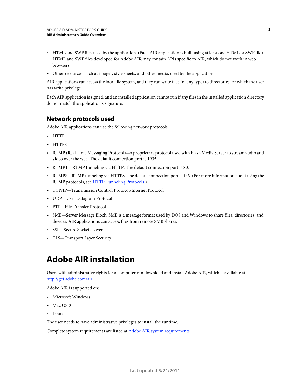- HTML and SWF files used by the application. (Each AIR application is built using at least one HTML or SWF file). HTML and SWF files developed for Adobe AIR may contain APIs specific to AIR, which do not work in web browsers.
- Other resources, such as images, style sheets, and other media, used by the application.

AIR applications can access the local file system, and they can write files (of any type) to directories for which the user has write privilege.

Each AIR application is signed, and an installed application cannot run if any files in the installed application directory do not match the application's signature.

#### **Network protocols used**

Adobe AIR applications can use the following network protocols:

- HTTP
- HTTPS
- RTMP (Real Time Messaging Protocol)—a proprietary protocol used with Flash Media Server to stream audio and video over the web. The default connection port is 1935.
- RTMPT—RTMP tunneling via HTTP. The default connection port is 80.
- RTMPS—RTMP tunneling via HTTPS. The default connection port is 443. (For more information about using the RTMP protocols, see [HTTP Tunneling Protocols](http://www.macromedia.com/cfusion/knowledgebase/index.cfm?id=tn_16631).)
- TCP/IP—Transmission Control Protocol/Internet Protocol
- UDP—User Datagram Protocol
- FTP—File Transfer Protocol
- SMB—Server Message Block. SMB is a message format used by DOS and Windows to share files, directories, and devices. AIR applications can access files from remote SMB shares.
- SSL—Secure Sockets Layer
- TLS—Transport Layer Security

### <span id="page-4-0"></span>**Adobe AIR installation**

Users with administrative rights for a computer can download and install Adobe AIR, which is available at [http://get.adobe.com/air.](http://get.adobe.com/air)

Adobe AIR is supported on:

- Microsoft Windows
- Mac OS X
- Linux

The user needs to have administrative privileges to install the runtime.

Complete system requirements are listed at [Adobe AIR system requirements.](http://www.adobe.com/products/air/systemreqs)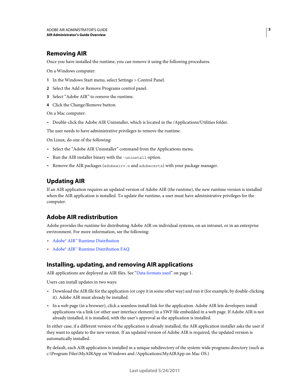#### **Removing AIR**

Once you have installed the runtime, you can remove it using the following procedures.

On a Windows computer:

- **1** In the Windows Start menu, select Settings > Control Panel.
- **2** Select the Add or Remove Programs control panel.
- **3** Select "Adobe AIR" to remove the runtime.
- **4** Click the Change/Remove button.

On a Mac computer:

• Double-click the Adobe AIR Uninstaller, which is located in the /Applications/Utilities folder.

The user needs to have administrative privileges to remove the runtime.

On Linux, do one of the following:

- Select the "Adobe AIR Uninstaller" command from the Applications menu.
- Run the AIR installer binary with the -uninstall option.
- Remove the AIR packages (adobeairv.n and adobecerts) with your package manager.

#### **Updating AIR**

If an AIR application requires an updated version of Adobe AIR (the runtime), the new runtime version is installed when the AIR application is installed. To update the runtime, a user must have administrative privileges for the computer.

#### **Adobe AIR redistribution**

Adobe provides the runtime for distributing Adobe AIR on individual systems, on an intranet, or in an enterprise environment. For more information, see the following:

- [Adobe® AIR™ Runtime Distribution](http://www.adobe.com/products/air/runtime_distribution1.html)
- [Adobe® AIR™ Runtime Distribution FAQ](http://www.adobe.com/products/air/runtime_distribution_faq.html)

#### **Installing, updating, and removing AIR applications**

AIR applications are deployed as AIR files. See ["Data formats used" on page](#page-3-2) 1.

Users can install updates in two ways:

- Download the AIR file for the application (or copy it in some other way) and run it (for example, by double-clicking it). Adobe AIR must already be installed.
- In a web page (in a browser), click a seamless install link for the application. Adobe AIR lets developers install applications via a link (or other user interface element) in a SWF file embedded in a web page. If Adobe AIR is not already installed, it is installed, with the user's approval as the application is installed.

In either case, if a different version of the application is already installed, the AIR application installer asks the user if they want to update to the new version. If an updated version of Adobe AIR is required, the updated version is automatically installed.

By default, each AIR application is installed in a unique subdirectory of the system-wide programs directory (such as c:\Program Files\MyAIRApp on Windows and /Applications/MyAIRApp on Mac OS.)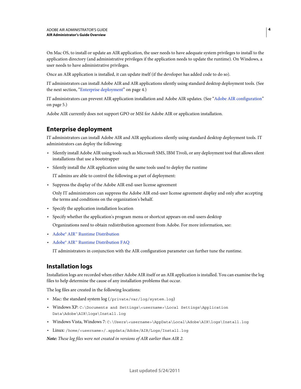On Mac OS, to install or update an AIR application, the user needs to have adequate system privileges to install to the application directory (and administrative privileges if the application needs to update the runtime). On Windows, a user needs to have administrative privileges.

Once an AIR application is installed, it can update itself (if the developer has added code to do so).

IT administrators can install Adobe AIR and AIR applications silently using standard desktop deployment tools. (See the next section, ["Enterprise deployment" on page](#page-6-0) 4.)

IT administrators can prevent AIR application installation and Adobe AIR updates. (See ["Adobe AIR configuration"](#page-7-0)  [on page](#page-7-0) 5.)

Adobe AIR currently does not support GPO or MSI for Adobe AIR or application installation.

#### <span id="page-6-0"></span>**Enterprise deployment**

IT administrators can install Adobe AIR and AIR applications silently using standard desktop deployment tools. IT administrators can deploy the following:

- Silently install Adobe AIR using tools such as Microsoft SMS, IBM Tivoli, or any deployment tool that allows silent installations that use a bootstrapper
- Silently install the AIR application using the same tools used to deploy the runtime

IT admins are able to control the following as part of deployment:

• Suppress the display of the Adobe AIR end-user license agreement

Only IT administrators can suppress the Adobe AIR end-user license agreement display and only after accepting the terms and conditions on the organization's behalf.

- Specify the application installation location
- Specify whether the application's program menu or shortcut appears on end-users desktop

Organizations need to obtain redistribution agreement from Adobe. For more information, see:

- [Adobe® AIR™ Runtime Distribution](http://www.adobe.com/products/air/runtime_distribution1.html)
- [Adobe® AIR™ Runtime Distribution FAQ](http://www.adobe.com/products/air/runtime_distribution_faq.html)

IT administrators in conjunction with the AIR configuration parameter can further tune the runtime.

#### **Installation logs**

Installation logs are recorded when either Adobe AIR itself or an AIR application is installed. You can examine the log files to help determine the cause of any installation problems that occur.

The log files are created in the following locations:

- Mac: the standard system  $log(f_{private}/var/log/system.log)$
- Windows XP: C:\Documents and Settings\<username>\Local Settings\Application Data\Adobe\AIR\logs\Install.log
- Windows Vista, Windows 7: C:\Users\<username>\AppData\Local\Adobe\AIR\logs\Install.log
- Linux: /home/<username>/.appdata/Adobe/AIR/Logs/Install.log

*Note: These log files were not created in versions of AIR earlier than AIR 2.*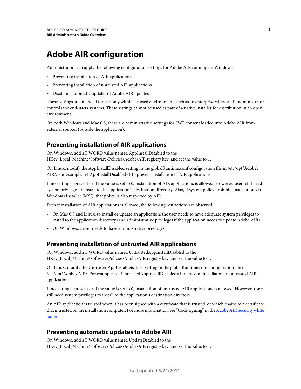## <span id="page-7-0"></span>**Adobe AIR configuration**

Administrators can apply the following configuration settings for Adobe AIR running on Windows:

- Preventing installation of AIR applications
- Preventing installation of untrusted AIR applications
- Disabling automatic updates of Adobe AIR updates

These settings are intended for use only within a closed environment, such as an enterprise where an IT administrator controls the end-users systems. These settings cannot be used as part of a native installer for distribution in an open environment.

On both Windows and Mac OS, there are administrative settings for SWF content loaded into Adobe AIR from external sources (outside the application).

#### **Preventing installation of AIR applications**

On Windows, add a DWORD value named AppInstallDisabled to the HKey\_Local\_Machine\Software\Policies\Adobe\AIR registry key, and set the value to 1.

On Linux, modify the AppInstallDisabled setting in the globalRuntime.conf configuration file in /etc/opt/Adobe\ AIR/. For example, set AppInstallDisabled=1 to prevent installation of AIR applications.

If no setting is present or if the value is set to 0, installation of AIR applications is allowed. However, users still need system privileges to install to the application's destination directory. Also, if system policy prohibits installation via Windows Installer (MSI), that policy is also respected by AIR.

Even if installation of AIR applications is allowed, the following restrictions are observed:

- On Mac OS and Linux, to install or update an application, the user needs to have adequate system privileges to install to the application directory (and administrative privileges if the application needs to update Adobe AIR).
- On Windows, a user needs to have administrative privileges.

#### **Preventing installation of untrusted AIR applications**

On Windows, add a DWORD value named UntrustedAppInstallDisabled to the HKey\_Local\_Machine\Software\Policies\Adobe\AIR registry key, and set the value to 1.

On Linux, modify the UntrustedAppInstallDisabled setting in the globalRuntime.conf configuration file in /etc/opt/Adobe\ AIR/. For example, set UntrustedAppInstallDisabled=1 to prevent installation of untrusted AIR applications.

If no setting is present or if the value is set to 0, installation of untrusted AIR applications is allowed. However, users still need system privileges to install to the application's destination directory.

An AIR application is trusted when it has been signed with a certificate that is trusted, or which chains to a certificate that is trusted on the installation computer. For more information, see "Code signing" in the [Adobe AIR Security white](http://www.adobe.com/go/learn_air_security_wp_en)  [paper.](http://www.adobe.com/go/learn_air_security_wp_en)

#### **Preventing automatic updates to Adobe AIR**

On Windows, add a DWORD value named UpdateDisabled to the HKey\_Local\_Machine\Software\Policies\Adobe\AIR registry key, and set the value to 1.